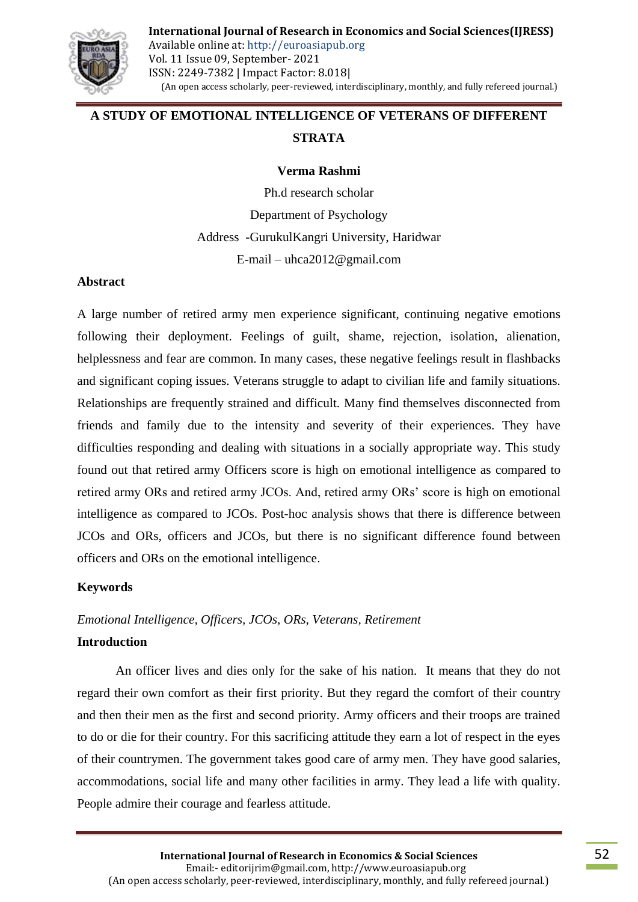

# **A STUDY OF EMOTIONAL INTELLIGENCE OF VETERANS OF DIFFERENT STRATA**

#### **Verma Rashmi**

Ph.d research scholar Department of Psychology Address -GurukulKangri University, Haridwar E-mail – uhca2012@gmail.com

#### **Abstract**

A large number of retired army men experience significant, continuing negative emotions following their deployment. Feelings of guilt, shame, rejection, isolation, alienation, helplessness and fear are common. In many cases, these negative feelings result in flashbacks and significant coping issues. Veterans struggle to adapt to civilian life and family situations. Relationships are frequently strained and difficult. Many find themselves disconnected from friends and family due to the intensity and severity of their experiences. They have difficulties responding and dealing with situations in a socially appropriate way. This study found out that retired army Officers score is high on emotional intelligence as compared to retired army ORs and retired army JCOs. And, retired army ORs' score is high on emotional intelligence as compared to JCOs. Post-hoc analysis shows that there is difference between JCOs and ORs, officers and JCOs, but there is no significant difference found between officers and ORs on the emotional intelligence.

### **Keywords**

### *Emotional Intelligence, Officers, JCOs, ORs, Veterans, Retirement*

#### **Introduction**

An officer lives and dies only for the sake of his nation. It means that they do not regard their own comfort as their first priority. But they regard the comfort of their country and then their men as the first and second priority. Army officers and their troops are trained to do or die for their country. For this sacrificing attitude they earn a lot of respect in the eyes of their countrymen. The government takes good care of army men. They have good salaries, accommodations, social life and many other facilities in army. They lead a life with quality. People admire their courage and fearless attitude.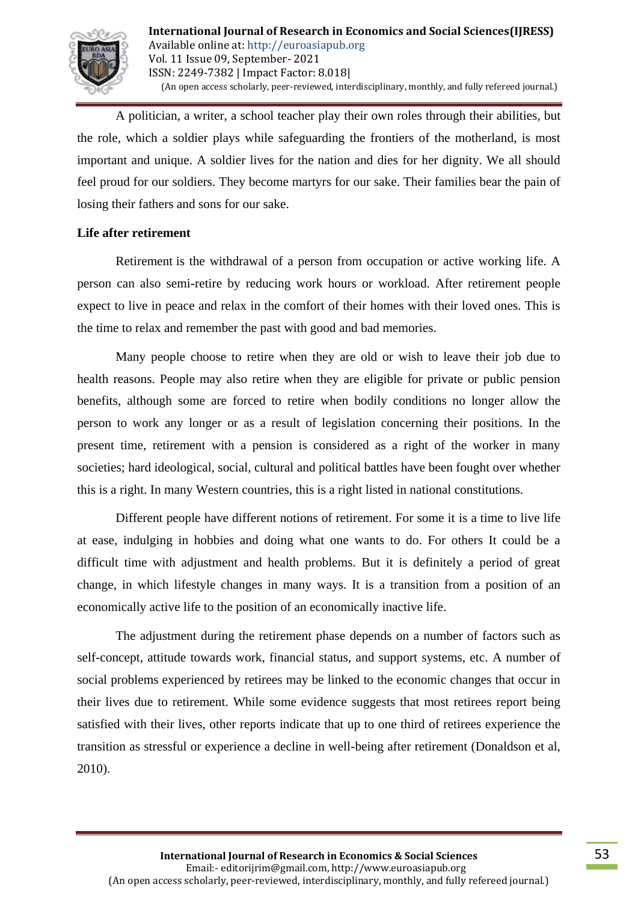

A politician, a writer, a school teacher play their own roles through their abilities, but the role, which a soldier plays while safeguarding the frontiers of the motherland, is most important and unique. A soldier lives for the nation and dies for her dignity. We all should feel proud for our soldiers. They become martyrs for our sake. Their families bear the pain of losing their fathers and sons for our sake.

### **Life after retirement**

Retirement is the withdrawal of a person from occupation or active working life. A person can also semi-retire by reducing work hours or workload. After retirement people expect to live in peace and relax in the comfort of their homes with their loved ones. This is the time to relax and remember the past with good and bad memories.

Many people choose to retire when they are old or wish to leave their job due to health reasons. People may also retire when they are eligible for private or public pension benefits, although some are forced to retire when bodily conditions no longer allow the person to work any longer or as a result of legislation concerning their positions. In the present time, retirement with a pension is considered as a right of the worker in many societies; hard ideological, social, cultural and political battles have been fought over whether this is a right. In many Western countries, this is a right listed in national constitutions.

Different people have different notions of retirement. For some it is a time to live life at ease, indulging in hobbies and doing what one wants to do. For others It could be a difficult time with adjustment and health problems. But it is definitely a period of great change, in which lifestyle changes in many ways. It is a transition from a position of an economically active life to the position of an economically inactive life.

The adjustment during the retirement phase depends on a number of factors such as self-concept, attitude towards work, financial status, and support systems, etc. A number of social problems experienced by retirees may be linked to the economic changes that occur in their lives due to retirement. While some evidence suggests that most retirees report being satisfied with their lives, other reports indicate that up to one third of retirees experience the transition as stressful or experience a decline in well-being after retirement (Donaldson et al, 2010).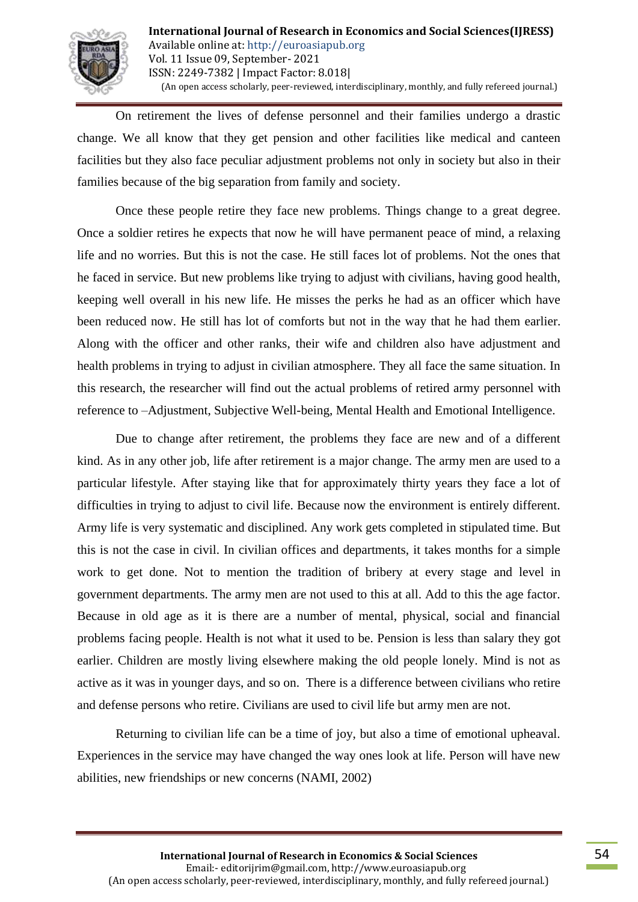

On retirement the lives of defense personnel and their families undergo a drastic change. We all know that they get pension and other facilities like medical and canteen facilities but they also face peculiar adjustment problems not only in society but also in their families because of the big separation from family and society.

Once these people retire they face new problems. Things change to a great degree. Once a soldier retires he expects that now he will have permanent peace of mind, a relaxing life and no worries. But this is not the case. He still faces lot of problems. Not the ones that he faced in service. But new problems like trying to adjust with civilians, having good health, keeping well overall in his new life. He misses the perks he had as an officer which have been reduced now. He still has lot of comforts but not in the way that he had them earlier. Along with the officer and other ranks, their wife and children also have adjustment and health problems in trying to adjust in civilian atmosphere. They all face the same situation. In this research, the researcher will find out the actual problems of retired army personnel with reference to –Adjustment, Subjective Well-being, Mental Health and Emotional Intelligence.

Due to change after retirement, the problems they face are new and of a different kind. As in any other job, life after retirement is a major change. The army men are used to a particular lifestyle. After staying like that for approximately thirty years they face a lot of difficulties in trying to adjust to civil life. Because now the environment is entirely different. Army life is very systematic and disciplined. Any work gets completed in stipulated time. But this is not the case in civil. In civilian offices and departments, it takes months for a simple work to get done. Not to mention the tradition of bribery at every stage and level in government departments. The army men are not used to this at all. Add to this the age factor. Because in old age as it is there are a number of mental, physical, social and financial problems facing people. Health is not what it used to be. Pension is less than salary they got earlier. Children are mostly living elsewhere making the old people lonely. Mind is not as active as it was in younger days, and so on. There is a difference between civilians who retire and defense persons who retire. Civilians are used to civil life but army men are not.

Returning to civilian life can be a time of joy, but also a time of emotional upheaval. Experiences in the service may have changed the way ones look at life. Person will have new abilities, new friendships or new concerns (NAMI, 2002)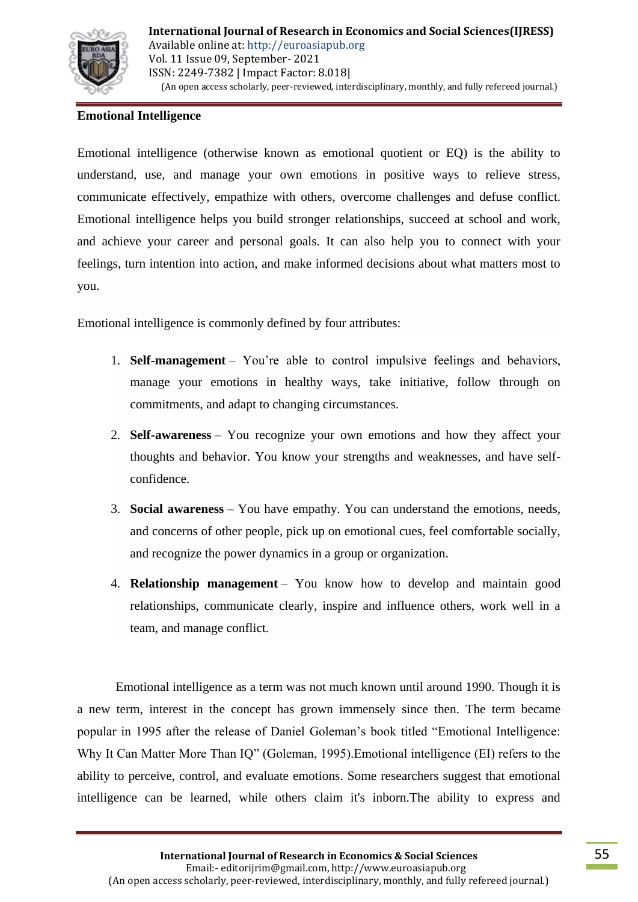

## **Emotional Intelligence**

Emotional intelligence (otherwise known as emotional quotient or EQ) is the ability to understand, use, and manage your own emotions in positive ways to relieve stress, communicate effectively, empathize with others, overcome challenges and defuse conflict. Emotional intelligence helps you build stronger relationships, succeed at school and work, and achieve your career and personal goals. It can also help you to connect with your feelings, turn intention into action, and make informed decisions about what matters most to you.

Emotional intelligence is commonly defined by four attributes:

- 1. **Self-management** You're able to control impulsive feelings and behaviors, manage your emotions in healthy ways, take initiative, follow through on commitments, and adapt to changing circumstances.
- 2. **Self-awareness** You recognize your own emotions and how they affect your thoughts and behavior. You know your strengths and weaknesses, and have selfconfidence.
- 3. **Social awareness** You have empathy. You can understand the emotions, needs, and concerns of other people, pick up on emotional cues, feel comfortable socially, and recognize the power dynamics in a group or organization.
- 4. **Relationship management** You know how to develop and maintain good relationships, communicate clearly, inspire and influence others, work well in a team, and manage conflict.

Emotional intelligence as a term was not much known until around 1990. Though it is a new term, interest in the concept has grown immensely since then. The term became popular in 1995 after the release of Daniel Goleman's book titled "Emotional Intelligence: Why It Can Matter More Than IQ" (Goleman, 1995).Emotional intelligence (EI) refers to the ability to perceive, control, and evaluate emotions. Some researchers suggest that emotional intelligence can be learned, while others claim it's inborn.The ability to express and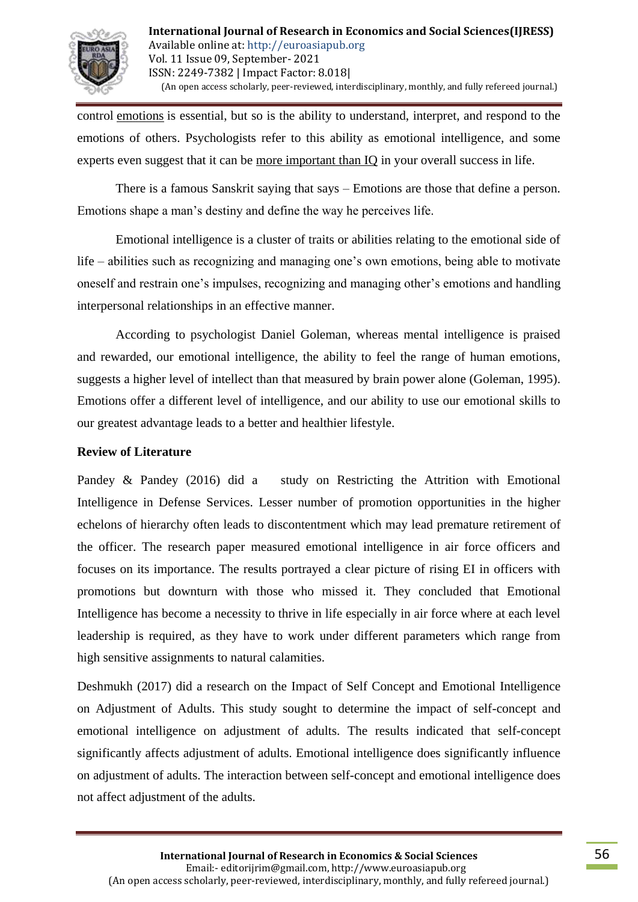

control [emotions](https://www.verywellmind.com/what-are-emotions-2795178) is essential, but so is the ability to understand, interpret, and respond to the emotions of others. Psychologists refer to this ability as emotional intelligence, and some experts even suggest that it can be [more important than IQ](https://www.verywellmind.com/iq-or-eq-which-one-is-more-important-2795287) in your overall success in life.

There is a famous Sanskrit saying that says – Emotions are those that define a person. Emotions shape a man's destiny and define the way he perceives life.

Emotional intelligence is a cluster of traits or abilities relating to the emotional side of life – abilities such as recognizing and managing one's own emotions, being able to motivate oneself and restrain one's impulses, recognizing and managing other's emotions and handling interpersonal relationships in an effective manner.

According to psychologist Daniel Goleman, whereas mental intelligence is praised and rewarded, our emotional intelligence, the ability to feel the range of human emotions, suggests a higher level of intellect than that measured by brain power alone (Goleman, 1995). Emotions offer a different level of intelligence, and our ability to use our emotional skills to our greatest advantage leads to a better and healthier lifestyle.

### **Review of Literature**

Pandey & Pandey (2016) did a study on Restricting the Attrition with Emotional Intelligence in Defense Services. Lesser number of promotion opportunities in the higher echelons of hierarchy often leads to discontentment which may lead premature retirement of the officer. The research paper measured emotional intelligence in air force officers and focuses on its importance. The results portrayed a clear picture of rising EI in officers with promotions but downturn with those who missed it. They concluded that Emotional Intelligence has become a necessity to thrive in life especially in air force where at each level leadership is required, as they have to work under different parameters which range from high sensitive assignments to natural calamities.

Deshmukh (2017) did a research on the Impact of Self Concept and Emotional Intelligence on Adjustment of Adults. This study sought to determine the impact of self-concept and emotional intelligence on adjustment of adults. The results indicated that self-concept significantly affects adjustment of adults. Emotional intelligence does significantly influence on adjustment of adults. The interaction between self-concept and emotional intelligence does not affect adjustment of the adults.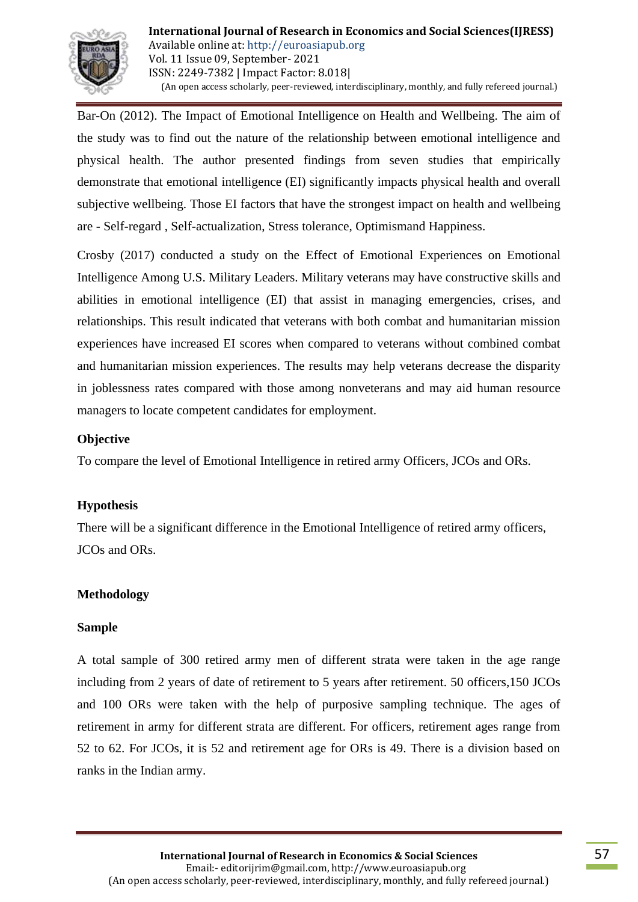

Bar-On (2012). The Impact of Emotional Intelligence on Health and Wellbeing. The aim of the study was to find out the nature of the relationship between emotional intelligence and physical health. The author presented findings from seven studies that empirically demonstrate that emotional intelligence (EI) significantly impacts physical health and overall subjective wellbeing. Those EI factors that have the strongest impact on health and wellbeing are - Self-regard , Self-actualization, Stress tolerance, Optimismand Happiness.

Crosby (2017) conducted a study on the Effect of Emotional Experiences on Emotional Intelligence Among U.S. Military Leaders. Military veterans may have constructive skills and abilities in emotional intelligence (EI) that assist in managing emergencies, crises, and relationships. This result indicated that veterans with both combat and humanitarian mission experiences have increased EI scores when compared to veterans without combined combat and humanitarian mission experiences. The results may help veterans decrease the disparity in joblessness rates compared with those among nonveterans and may aid human resource managers to locate competent candidates for employment.

### **Objective**

To compare the level of Emotional Intelligence in retired army Officers, JCOs and ORs.

### **Hypothesis**

There will be a significant difference in the Emotional Intelligence of retired army officers, JCOs and ORs.

### **Methodology**

### **Sample**

A total sample of 300 retired army men of different strata were taken in the age range including from 2 years of date of retirement to 5 years after retirement. 50 officers,150 JCOs and 100 ORs were taken with the help of purposive sampling technique. The ages of retirement in army for different strata are different. For officers, retirement ages range from 52 to 62. For JCOs, it is 52 and retirement age for ORs is 49. There is a division based on ranks in the Indian army.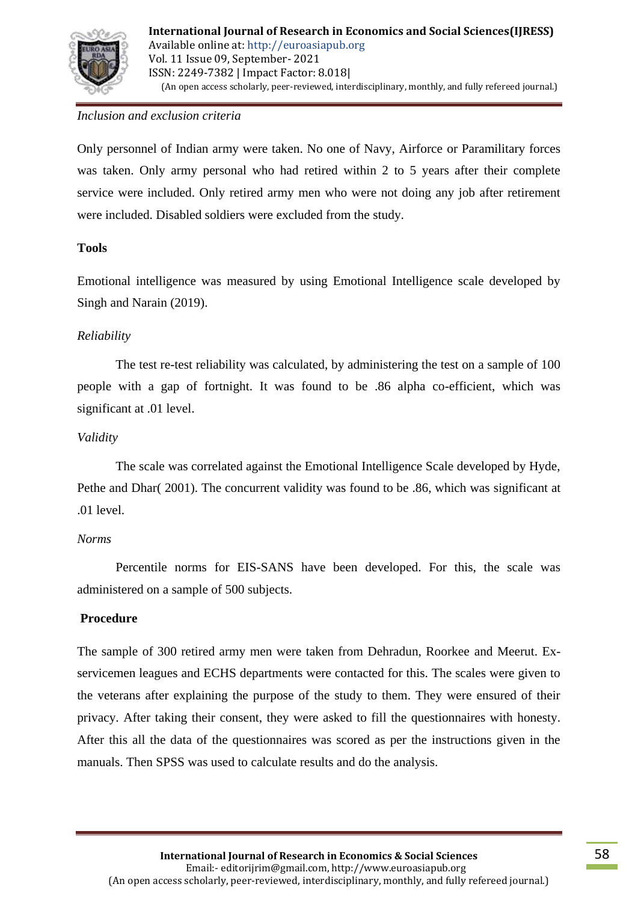

# *Inclusion and exclusion criteria*

Only personnel of Indian army were taken. No one of Navy, Airforce or Paramilitary forces was taken. Only army personal who had retired within 2 to 5 years after their complete service were included. Only retired army men who were not doing any job after retirement were included. Disabled soldiers were excluded from the study.

# **Tools**

Emotional intelligence was measured by using Emotional Intelligence scale developed by Singh and Narain (2019).

## *Reliability*

The test re-test reliability was calculated, by administering the test on a sample of 100 people with a gap of fortnight. It was found to be .86 alpha co-efficient, which was significant at .01 level.

## *Validity*

The scale was correlated against the Emotional Intelligence Scale developed by Hyde, Pethe and Dhar( 2001). The concurrent validity was found to be .86, which was significant at .01 level.

### *Norms*

Percentile norms for EIS-SANS have been developed. For this, the scale was administered on a sample of 500 subjects.

### **Procedure**

The sample of 300 retired army men were taken from Dehradun, Roorkee and Meerut. Exservicemen leagues and ECHS departments were contacted for this. The scales were given to the veterans after explaining the purpose of the study to them. They were ensured of their privacy. After taking their consent, they were asked to fill the questionnaires with honesty. After this all the data of the questionnaires was scored as per the instructions given in the manuals. Then SPSS was used to calculate results and do the analysis.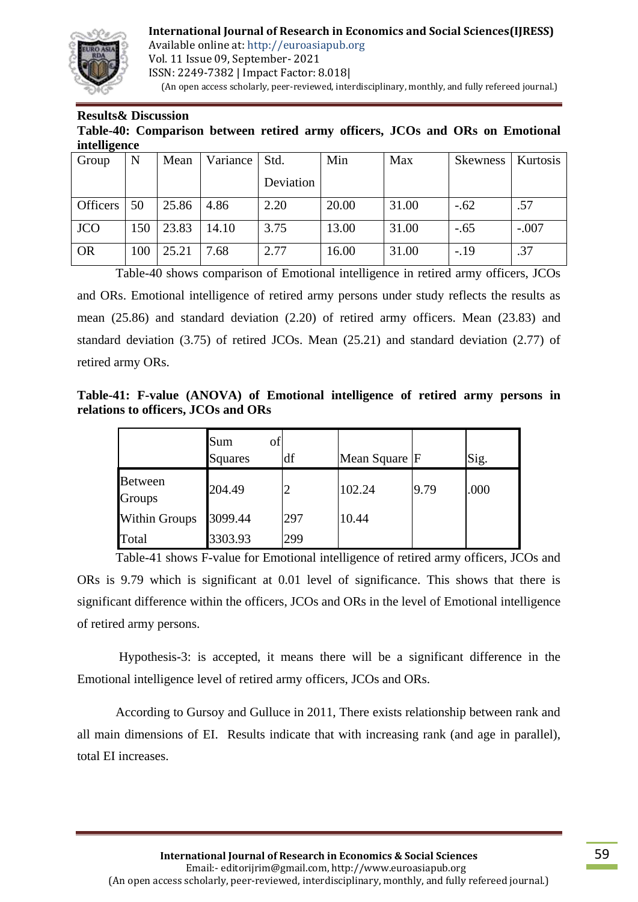

**International Journal of Research in Economics and Social Sciences(IJRESS)**

Available online at: http://euroasiapub.org Vol. 11 Issue 09, September- 2021 ISSN: 2249-7382 | Impact Factor: 8.018| (An open access scholarly, peer-reviewed, interdisciplinary, monthly, and fully refereed journal.)

#### **Results& Discussion**

**Table-40: Comparison between retired army officers, JCOs and ORs on Emotional intelligence**

| Group                 | N   | Mean  | Variance | Std.      | Min   | Max   | <b>Skewness</b> | <b>Kurtosis</b> |
|-----------------------|-----|-------|----------|-----------|-------|-------|-----------------|-----------------|
|                       |     |       |          | Deviation |       |       |                 |                 |
| Officers <sup>1</sup> | 50  | 25.86 | 4.86     | 2.20      | 20.00 | 31.00 | $-.62$          | .57             |
| <b>JCO</b>            | 150 | 23.83 | 14.10    | 3.75      | 13.00 | 31.00 | $-.65$          | $-.007$         |
| <b>OR</b>             | 100 | 25.21 | 7.68     | 2.77      | 16.00 | 31.00 | $-.19$          | .37             |

Table-40 shows comparison of Emotional intelligence in retired army officers, JCOs and ORs. Emotional intelligence of retired army persons under study reflects the results as mean (25.86) and standard deviation (2.20) of retired army officers. Mean (23.83) and standard deviation (3.75) of retired JCOs. Mean (25.21) and standard deviation (2.77) of retired army ORs.

**Table-41: F-value (ANOVA) of Emotional intelligence of retired army persons in relations to officers, JCOs and ORs**

|                      | Sum<br>of<br><b>Squares</b> | df             | Mean Square F |      | Sig. |
|----------------------|-----------------------------|----------------|---------------|------|------|
| Between<br>Groups    | 204.49                      | $\overline{2}$ | 102.24        | 9.79 | .000 |
| <b>Within Groups</b> | 3099.44                     | 297            | 10.44         |      |      |
| Total                | 3303.93                     | 299            |               |      |      |

Table-41 shows F-value for Emotional intelligence of retired army officers, JCOs and ORs is 9.79 which is significant at 0.01 level of significance. This shows that there is significant difference within the officers, JCOs and ORs in the level of Emotional intelligence of retired army persons.

Hypothesis-3: is accepted, it means there will be a significant difference in the Emotional intelligence level of retired army officers, JCOs and ORs.

According to Gursoy and Gulluce in 2011, There exists relationship between rank and all main dimensions of EI. Results indicate that with increasing rank (and age in parallel), total EI increases.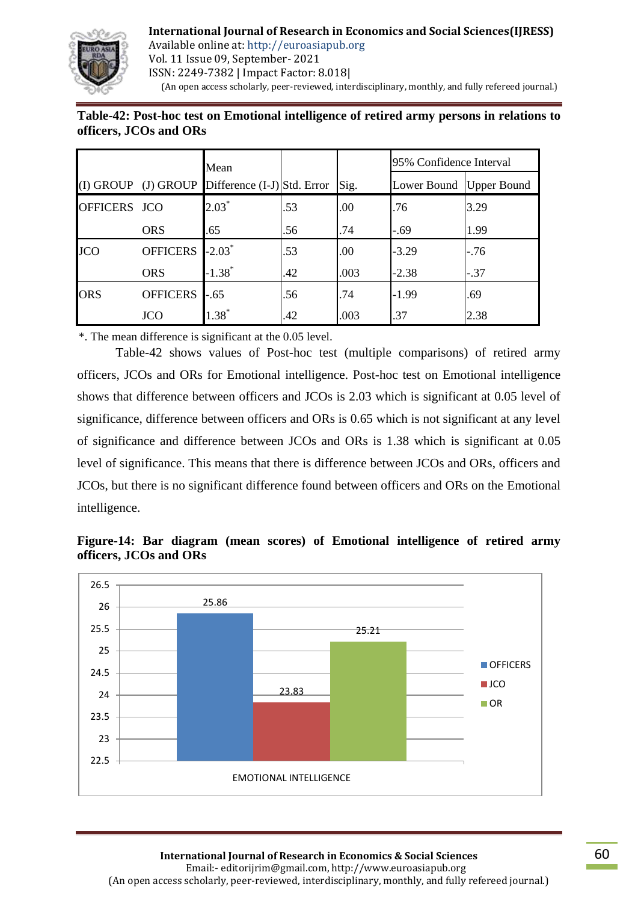

**International Journal of Research in Economics and Social Sciences(IJRESS)** Available online at: http://euroasiapub.org Vol. 11 Issue 09, September- 2021 ISSN: 2249-7382 | Impact Factor: 8.018| (An open access scholarly, peer-reviewed, interdisciplinary, monthly, and fully refereed journal.)

# **Table-42: Post-hoc test on Emotional intelligence of retired army persons in relations to officers, JCOs and ORs**

|              |                 | Mean                                              |     |      | 95% Confidence Interval   |        |
|--------------|-----------------|---------------------------------------------------|-----|------|---------------------------|--------|
|              |                 | (I) GROUP (J) GROUP Difference $(I-J)$ Std. Error |     | Sig. | Lower Bound   Upper Bound |        |
| OFFICERS JCO |                 | $2.03*$                                           | .53 | .00  | .76                       | 3.29   |
|              | <b>ORS</b>      | .65                                               | .56 | .74  | $-.69$                    | 1.99   |
| <b>JCO</b>   | <b>OFFICERS</b> | $-2.03^*$                                         | .53 | .00  | $-3.29$                   | $-76$  |
|              | <b>ORS</b>      | $-1.38$ <sup>*</sup>                              | .42 | .003 | $-2.38$                   | $-.37$ |
| <b>ORS</b>   | <b>OFFICERS</b> | $-.65$                                            | .56 | .74  | $-1.99$                   | .69    |
|              | <b>JCO</b>      | $1.38*$                                           | .42 | .003 | .37                       | 2.38   |

\*. The mean difference is significant at the 0.05 level.

Table-42 shows values of Post-hoc test (multiple comparisons) of retired army officers, JCOs and ORs for Emotional intelligence. Post-hoc test on Emotional intelligence shows that difference between officers and JCOs is 2.03 which is significant at 0.05 level of significance, difference between officers and ORs is 0.65 which is not significant at any level of significance and difference between JCOs and ORs is 1.38 which is significant at 0.05 level of significance. This means that there is difference between JCOs and ORs, officers and JCOs, but there is no significant difference found between officers and ORs on the Emotional intelligence.



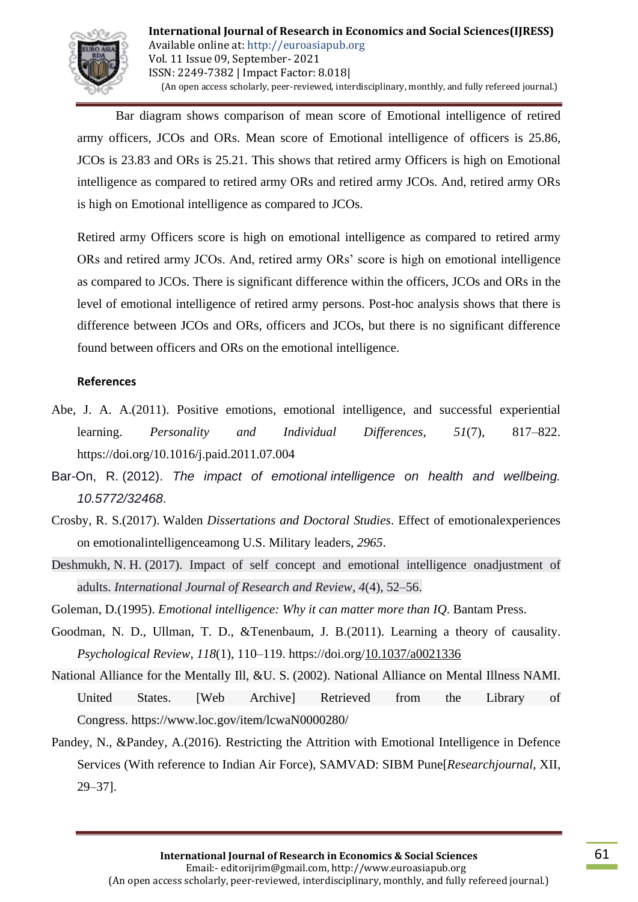

Bar diagram shows comparison of mean score of Emotional intelligence of retired army officers, JCOs and ORs. Mean score of Emotional intelligence of officers is 25.86, JCOs is 23.83 and ORs is 25.21. This shows that retired army Officers is high on Emotional intelligence as compared to retired army ORs and retired army JCOs. And, retired army ORs is high on Emotional intelligence as compared to JCOs.

Retired army Officers score is high on emotional intelligence as compared to retired army ORs and retired army JCOs. And, retired army ORs' score is high on emotional intelligence as compared to JCOs. There is significant difference within the officers, JCOs and ORs in the level of emotional intelligence of retired army persons. Post-hoc analysis shows that there is difference between JCOs and ORs, officers and JCOs, but there is no significant difference found between officers and ORs on the emotional intelligence.

### **References**

- Abe, J. A. A.(2011). Positive emotions, emotional intelligence, and successful experiential learning. *Personality and Individual Differences*, *51*(7), 817–822. <https://doi.org/10.1016/j.paid.2011.07.004>
- Bar-On, R. (2012). *The impact of emotional intelligence on health and wellbeing. 10.5772/32468*.
- Crosby, R. S.(2017). Walden *Dissertations and Doctoral Studies*. Effect of emotionalexperiences on emotionalintelligenceamong U.S. Military leaders, *2965*.
- Deshmukh, N. H. (2017). Impact of self concept and emotional intelligence onadjustment of adults. *International Journal of Research and Review*, *4*(4), 52–56.

Goleman, D.(1995). *Emotional intelligence: Why it can matter more than IQ*. Bantam Press.

- Goodman, N. D., Ullman, T. D., &Tenenbaum, J. B.(2011). Learning a theory of causality. *Psychological Review*, *118*(1), 110–119.<https://doi.org/10.1037/a0021336>
- National Alliance for the Mentally Ill, &U. S. (2002). National Alliance on Mental Illness NAMI. United States. [Web Archive] Retrieved from the Library of Congress. https://www.loc.gov/item/lcwaN0000280/
- Pandey, N., &Pandey, A.(2016). Restricting the Attrition with Emotional Intelligence in Defence Services (With reference to Indian Air Force), SAMVAD: SIBM Pune[*Researchjournal*, XII, 29–37].